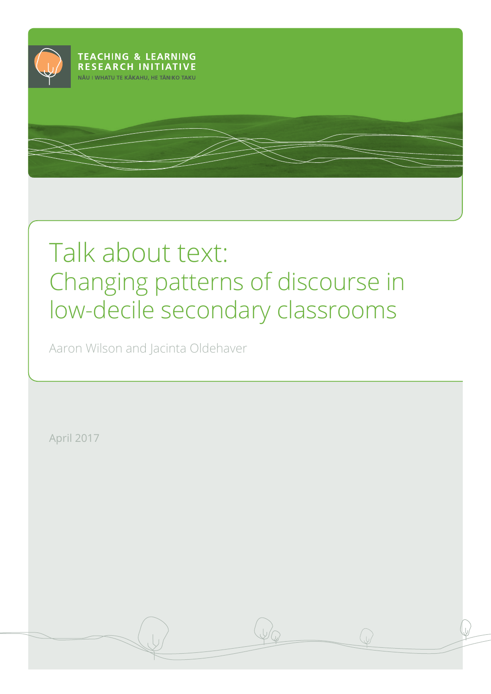

# Talk about text: Changing patterns of discourse in low-decile secondary classrooms

Aaron Wilson and Jacinta Oldehaver

April 2017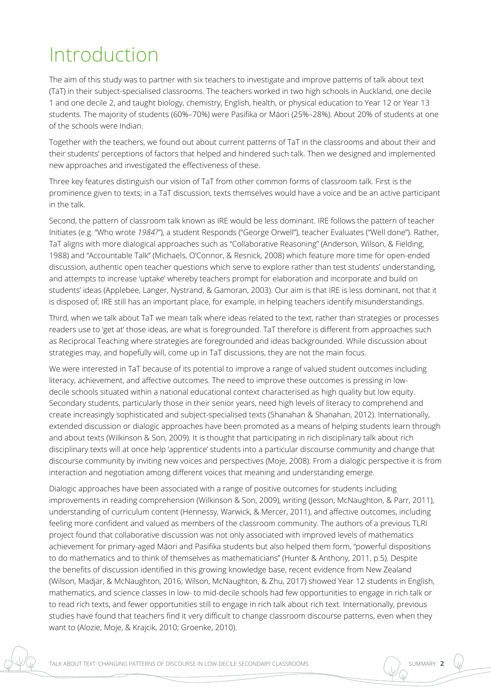## Introduction

The aim of this study was to partner with six teachers to investigate and improve patterns of talk about text (TaT) in their subject-specialised classrooms. The teachers worked in two high schools in Auckland, one decile 1 and one decile 2, and taught biology, chemistry, English, health, or physical education to Year 12 or Year 13 students. The majority of students (60%–70%) were Pasifika or Māori (25%–28%). About 20% of students at one of the schools were Indian.

Together with the teachers, we found out about current patterns of TaT in the classrooms and about their and their students' perceptions of factors that helped and hindered such talk. Then we designed and implemented new approaches and investigated the effectiveness of these.

Three key features distinguish our vision of TaT from other common forms of classroom talk. First is the prominence given to texts; in a TaT discussion, texts themselves would have a voice and be an active participant in the talk.

Second, the pattern of classroom talk known as IRE would be less dominant. IRE follows the pattern of teacher Initiates (e.g. "Who wrote *1984*?"), a student Responds ("George Orwell"), teacher Evaluates ("Well done"). Rather, TaT aligns with more dialogical approaches such as "Collaborative Reasoning" (Anderson, Wilson, & Fielding, 1988) and "Accountable Talk" (Michaels, O'Connor, & Resnick, 2008) which feature more time for open-ended discussion, authentic open teacher questions which serve to explore rather than test students' understanding, and attempts to increase 'uptake' whereby teachers prompt for elaboration and incorporate and build on students' ideas (Applebee, Langer, Nystrand, & Gamoran, 2003). Our aim is that IRE is less dominant, not that it is disposed of; IRE still has an important place, for example, in helping teachers identify misunderstandings.

Third, when we talk about TaT we mean talk where ideas related to the text, rather than strategies or processes readers use to 'get at' those ideas, are what is foregrounded. TaT therefore is different from approaches such as Reciprocal Teaching where strategies are foregrounded and ideas backgrounded. While discussion about strategies may, and hopefully will, come up in TaT discussions, they are not the main focus.

We were interested in TaT because of its potential to improve a range of valued student outcomes including literacy, achievement, and affective outcomes. The need to improve these outcomes is pressing in lowdecile schools situated within a national educational context characterised as high quality but low equity. Secondary students, particularly those in their senior years, need high levels of literacy to comprehend and create increasingly sophisticated and subject-specialised texts (Shanahan & Shanahan, 2012). Internationally, extended discussion or dialogic approaches have been promoted as a means of helping students learn through and about texts (Wilkinson & Son, 2009). It is thought that participating in rich disciplinary talk about rich disciplinary texts will at once help 'apprentice' students into a particular discourse community and change that discourse community by inviting new voices and perspectives (Moje, 2008). From a dialogic perspective it is from interaction and negotiation among different voices that meaning and understanding emerge.

Dialogic approaches have been associated with a range of positive outcomes for students including improvements in reading comprehension (Wilkinson & Son, 2009), writing (Jesson, McNaughton, & Parr, 2011), understanding of curriculum content (Hennessy, Warwick, & Mercer, 2011), and affective outcomes, including feeling more confident and valued as members of the classroom community. The authors of a previous TLRI project found that collaborative discussion was not only associated with improved levels of mathematics achievement for primary-aged Māori and Pasifika students but also helped them form, "powerful dispositions to do mathematics and to think of themselves as mathematicians" (Hunter & Anthony, 2011, p.5). Despite the benefits of discussion identified in this growing knowledge base, recent evidence from New Zealand (Wilson, Madjar, & McNaughton, 2016; Wilson, McNaughton, & Zhu, 2017) showed Year 12 students in English, mathematics, and science classes in low- to mid-decile schools had few opportunities to engage in rich talk or to read rich texts, and fewer opportunities still to engage in rich talk about rich text. Internationally, previous studies have found that teachers find it very difficult to change classroom discourse patterns, even when they want to (Alozie, Moje, & Krajcik, 2010; Groenke, 2010).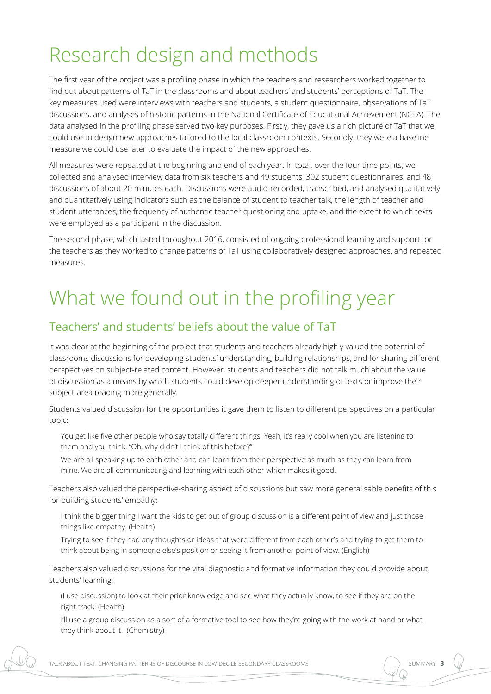## Research design and methods

The first year of the project was a profiling phase in which the teachers and researchers worked together to find out about patterns of TaT in the classrooms and about teachers' and students' perceptions of TaT. The key measures used were interviews with teachers and students, a student questionnaire, observations of TaT discussions, and analyses of historic patterns in the National Certificate of Educational Achievement (NCEA). The data analysed in the profiling phase served two key purposes. Firstly, they gave us a rich picture of TaT that we could use to design new approaches tailored to the local classroom contexts. Secondly, they were a baseline measure we could use later to evaluate the impact of the new approaches.

All measures were repeated at the beginning and end of each year. In total, over the four time points, we collected and analysed interview data from six teachers and 49 students, 302 student questionnaires, and 48 discussions of about 20 minutes each. Discussions were audio-recorded, transcribed, and analysed qualitatively and quantitatively using indicators such as the balance of student to teacher talk, the length of teacher and student utterances, the frequency of authentic teacher questioning and uptake, and the extent to which texts were employed as a participant in the discussion.

The second phase, which lasted throughout 2016, consisted of ongoing professional learning and support for the teachers as they worked to change patterns of TaT using collaboratively designed approaches, and repeated measures.

## What we found out in the profiling year

### Teachers' and students' beliefs about the value of TaT

It was clear at the beginning of the project that students and teachers already highly valued the potential of classrooms discussions for developing students' understanding, building relationships, and for sharing different perspectives on subject-related content. However, students and teachers did not talk much about the value of discussion as a means by which students could develop deeper understanding of texts or improve their subject-area reading more generally.

Students valued discussion for the opportunities it gave them to listen to different perspectives on a particular topic:

You get like five other people who say totally different things. Yeah, it's really cool when you are listening to them and you think, "Oh, why didn't I think of this before?"

We are all speaking up to each other and can learn from their perspective as much as they can learn from mine. We are all communicating and learning with each other which makes it good.

Teachers also valued the perspective-sharing aspect of discussions but saw more generalisable benefits of this for building students' empathy:

I think the bigger thing I want the kids to get out of group discussion is a different point of view and just those things like empathy. (Health)

Trying to see if they had any thoughts or ideas that were different from each other's and trying to get them to think about being in someone else's position or seeing it from another point of view. (English)

Teachers also valued discussions for the vital diagnostic and formative information they could provide about students' learning:

(I use discussion) to look at their prior knowledge and see what they actually know, to see if they are on the right track. (Health)

I'll use a group discussion as a sort of a formative tool to see how they're going with the work at hand or what they think about it. (Chemistry)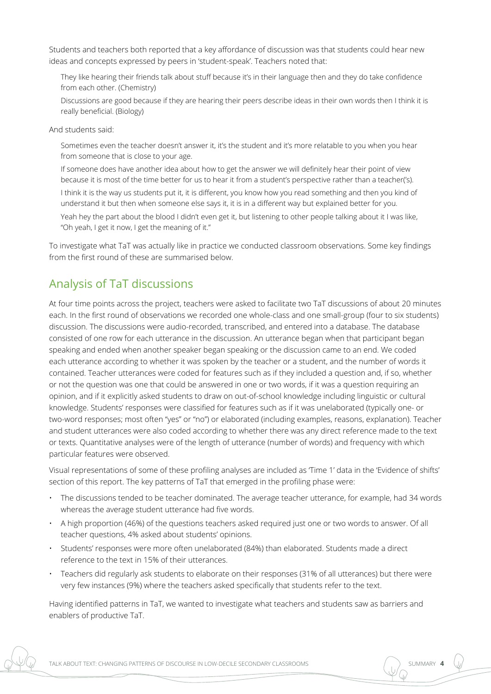Students and teachers both reported that a key affordance of discussion was that students could hear new ideas and concepts expressed by peers in 'student-speak'. Teachers noted that:

They like hearing their friends talk about stuff because it's in their language then and they do take confidence from each other. (Chemistry)

Discussions are good because if they are hearing their peers describe ideas in their own words then I think it is really beneficial. (Biology)

And students said:

Sometimes even the teacher doesn't answer it, it's the student and it's more relatable to you when you hear from someone that is close to your age.

If someone does have another idea about how to get the answer we will definitely hear their point of view because it is most of the time better for us to hear it from a student's perspective rather than a teacher('s).

I think it is the way us students put it, it is different, you know how you read something and then you kind of understand it but then when someone else says it, it is in a different way but explained better for you.

Yeah hey the part about the blood I didn't even get it, but listening to other people talking about it I was like, "Oh yeah, I get it now, I get the meaning of it."

To investigate what TaT was actually like in practice we conducted classroom observations. Some key findings from the first round of these are summarised below.

### Analysis of TaT discussions

At four time points across the project, teachers were asked to facilitate two TaT discussions of about 20 minutes each. In the first round of observations we recorded one whole-class and one small-group (four to six students) discussion. The discussions were audio-recorded, transcribed, and entered into a database. The database consisted of one row for each utterance in the discussion. An utterance began when that participant began speaking and ended when another speaker began speaking or the discussion came to an end. We coded each utterance according to whether it was spoken by the teacher or a student, and the number of words it contained. Teacher utterances were coded for features such as if they included a question and, if so, whether or not the question was one that could be answered in one or two words, if it was a question requiring an opinion, and if it explicitly asked students to draw on out-of-school knowledge including linguistic or cultural knowledge. Students' responses were classified for features such as if it was unelaborated (typically one- or two-word responses; most often "yes" or "no") or elaborated (including examples, reasons, explanation). Teacher and student utterances were also coded according to whether there was any direct reference made to the text or texts. Quantitative analyses were of the length of utterance (number of words) and frequency with which particular features were observed.

Visual representations of some of these profiling analyses are included as 'Time 1' data in the 'Evidence of shifts' section of this report. The key patterns of TaT that emerged in the profiling phase were:

- The discussions tended to be teacher dominated. The average teacher utterance, for example, had 34 words whereas the average student utterance had five words.
- A high proportion (46%) of the questions teachers asked required just one or two words to answer. Of all teacher questions, 4% asked about students' opinions.
- Students' responses were more often unelaborated (84%) than elaborated. Students made a direct reference to the text in 15% of their utterances.
- Teachers did regularly ask students to elaborate on their responses (31% of all utterances) but there were very few instances (9%) where the teachers asked specifically that students refer to the text.

Having identified patterns in TaT, we wanted to investigate what teachers and students saw as barriers and enablers of productive TaT.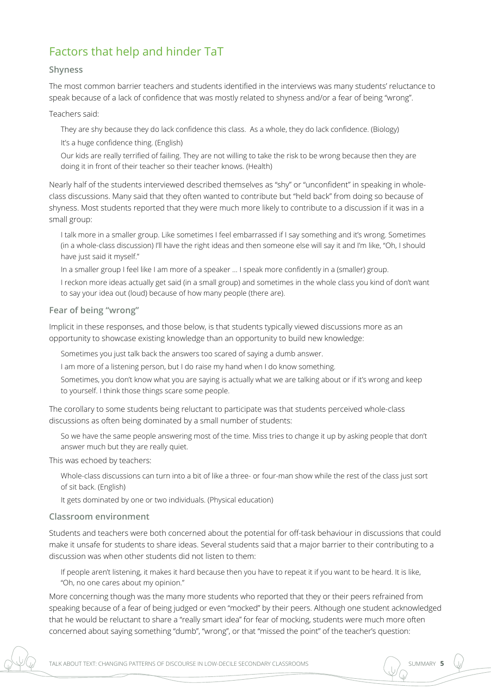### Factors that help and hinder TaT

#### **Shyness**

The most common barrier teachers and students identified in the interviews was many students' reluctance to speak because of a lack of confidence that was mostly related to shyness and/or a fear of being "wrong".

Teachers said:

They are shy because they do lack confidence this class. As a whole, they do lack confidence. (Biology) It's a huge confidence thing. (English)

Our kids are really terrified of failing. They are not willing to take the risk to be wrong because then they are doing it in front of their teacher so their teacher knows. (Health)

Nearly half of the students interviewed described themselves as "shy" or "unconfident" in speaking in wholeclass discussions. Many said that they often wanted to contribute but "held back" from doing so because of shyness. Most students reported that they were much more likely to contribute to a discussion if it was in a small group:

I talk more in a smaller group. Like sometimes I feel embarrassed if I say something and it's wrong. Sometimes (in a whole-class discussion) I'll have the right ideas and then someone else will say it and I'm like, "Oh, I should have just said it myself."

In a smaller group I feel like I am more of a speaker … I speak more confidently in a (smaller) group.

I reckon more ideas actually get said (in a small group) and sometimes in the whole class you kind of don't want to say your idea out (loud) because of how many people (there are).

#### **Fear of being "wrong"**

Implicit in these responses, and those below, is that students typically viewed discussions more as an opportunity to showcase existing knowledge than an opportunity to build new knowledge:

Sometimes you just talk back the answers too scared of saying a dumb answer.

I am more of a listening person, but I do raise my hand when I do know something.

Sometimes, you don't know what you are saying is actually what we are talking about or if it's wrong and keep to yourself. I think those things scare some people.

The corollary to some students being reluctant to participate was that students perceived whole-class discussions as often being dominated by a small number of students:

So we have the same people answering most of the time. Miss tries to change it up by asking people that don't answer much but they are really quiet.

This was echoed by teachers:

Whole-class discussions can turn into a bit of like a three- or four-man show while the rest of the class just sort of sit back. (English)

It gets dominated by one or two individuals. (Physical education)

#### **Classroom environment**

Students and teachers were both concerned about the potential for off-task behaviour in discussions that could make it unsafe for students to share ideas. Several students said that a major barrier to their contributing to a discussion was when other students did not listen to them:

If people aren't listening, it makes it hard because then you have to repeat it if you want to be heard. It is like, "Oh, no one cares about my opinion."

More concerning though was the many more students who reported that they or their peers refrained from speaking because of a fear of being judged or even "mocked" by their peers. Although one student acknowledged that he would be reluctant to share a "really smart idea" for fear of mocking, students were much more often concerned about saying something "dumb", "wrong", or that "missed the point" of the teacher's question: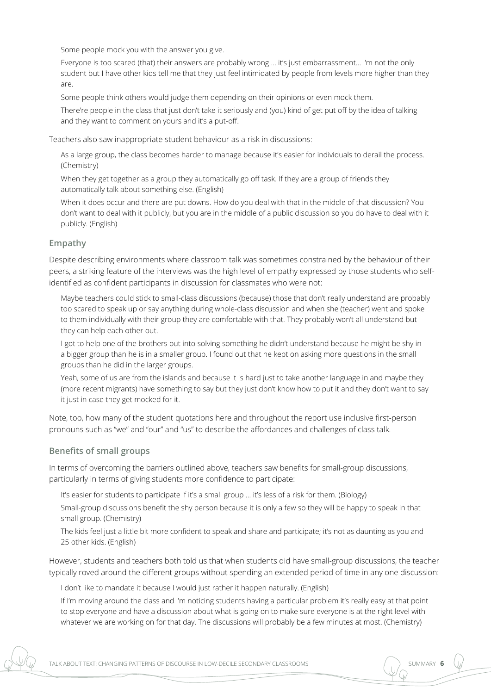Some people mock you with the answer you give.

Everyone is too scared (that) their answers are probably wrong … it's just embarrassment… I'm not the only student but I have other kids tell me that they just feel intimidated by people from levels more higher than they are.

Some people think others would judge them depending on their opinions or even mock them.

There're people in the class that just don't take it seriously and (you) kind of get put off by the idea of talking and they want to comment on yours and it's a put-off.

Teachers also saw inappropriate student behaviour as a risk in discussions:

As a large group, the class becomes harder to manage because it's easier for individuals to derail the process. (Chemistry)

When they get together as a group they automatically go off task. If they are a group of friends they automatically talk about something else. (English)

When it does occur and there are put downs. How do you deal with that in the middle of that discussion? You don't want to deal with it publicly, but you are in the middle of a public discussion so you do have to deal with it publicly. (English)

#### **Empathy**

Despite describing environments where classroom talk was sometimes constrained by the behaviour of their peers, a striking feature of the interviews was the high level of empathy expressed by those students who selfidentified as confident participants in discussion for classmates who were not:

Maybe teachers could stick to small-class discussions (because) those that don't really understand are probably too scared to speak up or say anything during whole-class discussion and when she (teacher) went and spoke to them individually with their group they are comfortable with that. They probably won't all understand but they can help each other out.

I got to help one of the brothers out into solving something he didn't understand because he might be shy in a bigger group than he is in a smaller group. I found out that he kept on asking more questions in the small groups than he did in the larger groups.

Yeah, some of us are from the islands and because it is hard just to take another language in and maybe they (more recent migrants) have something to say but they just don't know how to put it and they don't want to say it just in case they get mocked for it.

Note, too, how many of the student quotations here and throughout the report use inclusive first-person pronouns such as "we" and "our" and "us" to describe the affordances and challenges of class talk.

#### **Benefits of small groups**

In terms of overcoming the barriers outlined above, teachers saw benefits for small-group discussions, particularly in terms of giving students more confidence to participate:

It's easier for students to participate if it's a small group … it's less of a risk for them. (Biology)

Small-group discussions benefit the shy person because it is only a few so they will be happy to speak in that small group. (Chemistry)

The kids feel just a little bit more confident to speak and share and participate; it's not as daunting as you and 25 other kids. (English)

However, students and teachers both told us that when students did have small-group discussions, the teacher typically roved around the different groups without spending an extended period of time in any one discussion:

I don't like to mandate it because I would just rather it happen naturally. (English)

If I'm moving around the class and I'm noticing students having a particular problem it's really easy at that point to stop everyone and have a discussion about what is going on to make sure everyone is at the right level with whatever we are working on for that day. The discussions will probably be a few minutes at most. (Chemistry)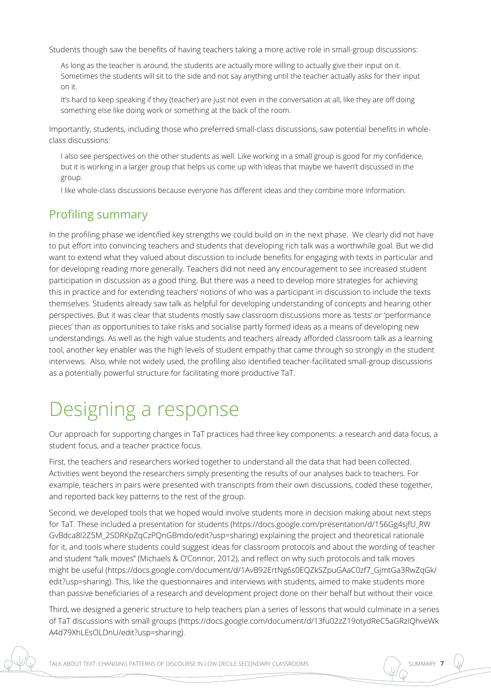Students though saw the benefits of having teachers taking a more active role in small-group discussions:

As long as the teacher is around, the students are actually more willing to actually give their input on it. Sometimes the students will sit to the side and not say anything until the teacher actually asks for their input on it.

It's hard to keep speaking if they (teacher) are just not even in the conversation at all, like they are off doing something else like doing work or something at the back of the room.

Importantly, students, including those who preferred small-class discussions, saw potential benefits in wholeclass discussions:

I also see perspectives on the other students as well. Like working in a small group is good for my confidence, but it is working in a larger group that helps us come up with ideas that maybe we haven't discussed in the group.

I like whole-class discussions because everyone has different ideas and they combine more information.

### Profiling summary

In the profiling phase we identified key strengths we could build on in the next phase. We clearly did not have to put effort into convincing teachers and students that developing rich talk was a worthwhile goal. But we did want to extend what they valued about discussion to include benefits for engaging with texts in particular and for developing reading more generally. Teachers did not need any encouragement to see increased student participation in discussion as a good thing. But there was a need to develop more strategies for achieving this in practice and for extending teachers' notions of who was a participant in discussion to include the texts themselves. Students already saw talk as helpful for developing understanding of concepts and hearing other perspectives. But it was clear that students mostly saw classroom discussions more as 'tests' or 'performance pieces' than as opportunities to take risks and socialise partly formed ideas as a means of developing new understandings. As well as the high value students and teachers already afforded classroom talk as a learning tool, another key enabler was the high levels of student empathy that came through so strongly in the student interviews. Also, while not widely used, the profiling also identified teacher-facilitated small-group discussions as a potentially powerful structure for facilitating more productive TaT.

### Designing a response

Our approach for supporting changes in TaT practices had three key components: a research and data focus, a student focus, and a teacher practice focus.

First, the teachers and researchers worked together to understand all the data that had been collected. Activities went beyond the researchers simply presenting the results of our analyses back to teachers. For example, teachers in pairs were presented with transcripts from their own discussions, coded these together, and reported back key patterns to the rest of the group.

Second, we developed tools that we hoped would involve students more in decision making about next steps for TaT. These included a presentation for students [\(https://docs.google.com/presentation/d/156Gg4sjfU\\_RW](https://docs.google.com/presentation/d/156Gg4sjfU_RWGvBdca8l2Z5M_2SDRKpZqCzPQnGBmdo/edit?usp=sharing) [GvBdca8l2Z5M\\_2SDRKpZqCzPQnGBmdo/edit?usp=sharing](https://docs.google.com/presentation/d/156Gg4sjfU_RWGvBdca8l2Z5M_2SDRKpZqCzPQnGBmdo/edit?usp=sharing)) explaining the project and theoretical rationale for it, and tools where students could suggest ideas for classroom protocols and about the wording of teacher and student "talk moves" (Michaels & O'Connor, 2012), and reflect on why such protocols and talk moves might be useful ([https://docs.google.com/document/d/1AvB92ErtNg6s0EQZkSZpuGAaC0zf7\\_GjmtGa3RwZqGk/](https://docs.google.com/document/d/1AvB92ErtNg6s0EQZkSZpuGAaC0zf7_GjmtGa3RwZqGk/edit?usp=sharing) [edit?usp=sharing](https://docs.google.com/document/d/1AvB92ErtNg6s0EQZkSZpuGAaC0zf7_GjmtGa3RwZqGk/edit?usp=sharing)). This, like the questionnaires and interviews with students, aimed to make students more than passive beneficiaries of a research and development project done on their behalf but without their voice.

Third, we designed a generic structure to help teachers plan a series of lessons that would culminate in a series of TaT discussions with small groups [\(https://docs.google.com/document/d/13fu02zZ19otydReC5aGRzIQhveWk](https://docs.google.com/document/d/13fu02zZ19otydReC5aGRzIQhveWkA4d79XhLEsOLDnU/edit?usp=sharing) [A4d79XhLEsOLDnU/edit?usp=sharing\)](https://docs.google.com/document/d/13fu02zZ19otydReC5aGRzIQhveWkA4d79XhLEsOLDnU/edit?usp=sharing).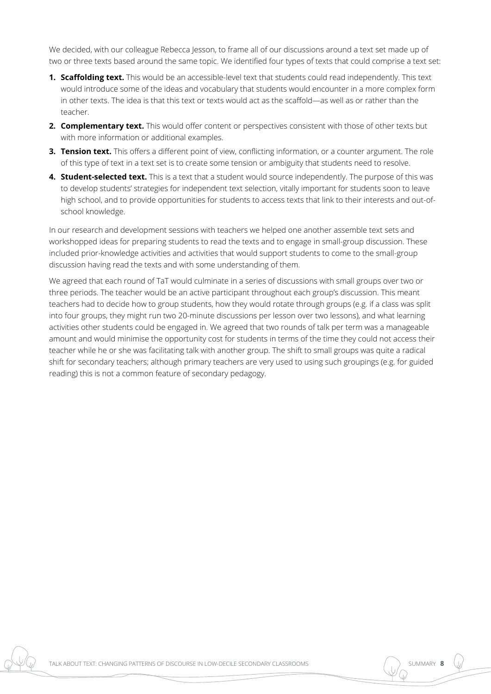We decided, with our colleague Rebecca Jesson, to frame all of our discussions around a text set made up of two or three texts based around the same topic. We identified four types of texts that could comprise a text set:

- **1. Scaffolding text.** This would be an accessible-level text that students could read independently. This text would introduce some of the ideas and vocabulary that students would encounter in a more complex form in other texts. The idea is that this text or texts would act as the scaffold—as well as or rather than the teacher.
- **2. Complementary text.** This would offer content or perspectives consistent with those of other texts but with more information or additional examples.
- **3. Tension text.** This offers a different point of view, conflicting information, or a counter argument. The role of this type of text in a text set is to create some tension or ambiguity that students need to resolve.
- **4. Student-selected text.** This is a text that a student would source independently. The purpose of this was to develop students' strategies for independent text selection, vitally important for students soon to leave high school, and to provide opportunities for students to access texts that link to their interests and out-ofschool knowledge.

In our research and development sessions with teachers we helped one another assemble text sets and workshopped ideas for preparing students to read the texts and to engage in small-group discussion. These included prior-knowledge activities and activities that would support students to come to the small-group discussion having read the texts and with some understanding of them.

We agreed that each round of TaT would culminate in a series of discussions with small groups over two or three periods. The teacher would be an active participant throughout each group's discussion. This meant teachers had to decide how to group students, how they would rotate through groups (e.g. if a class was split into four groups, they might run two 20-minute discussions per lesson over two lessons), and what learning activities other students could be engaged in. We agreed that two rounds of talk per term was a manageable amount and would minimise the opportunity cost for students in terms of the time they could not access their teacher while he or she was facilitating talk with another group. The shift to small groups was quite a radical shift for secondary teachers; although primary teachers are very used to using such groupings (e.g. for guided reading) this is not a common feature of secondary pedagogy.

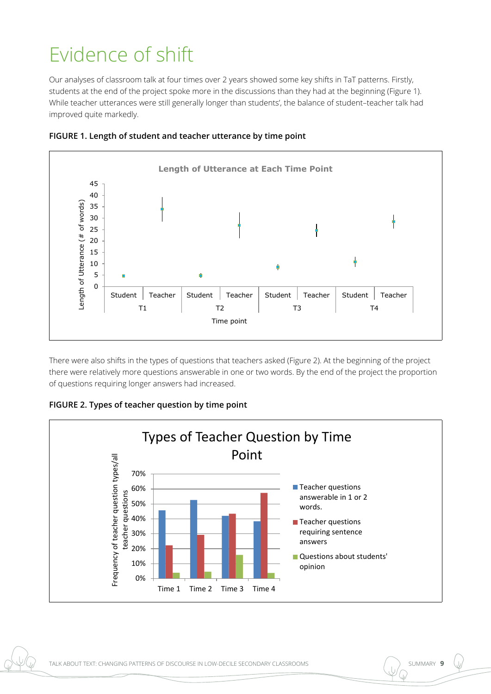## Evidence of shift

Our analyses of classroom talk at four times over 2 years showed some key shifts in TaT patterns. Firstly, students at the end of the project spoke more in the discussions than they had at the beginning (Figure 1). While teacher utterances were still generally longer than students', the balance of student–teacher talk had improved quite markedly.





There were also shifts in the types of questions that teachers asked (Figure 2). At the beginning of the project there were relatively more questions answerable in one or two words. By the end of the project the proportion of questions requiring longer answers had increased.



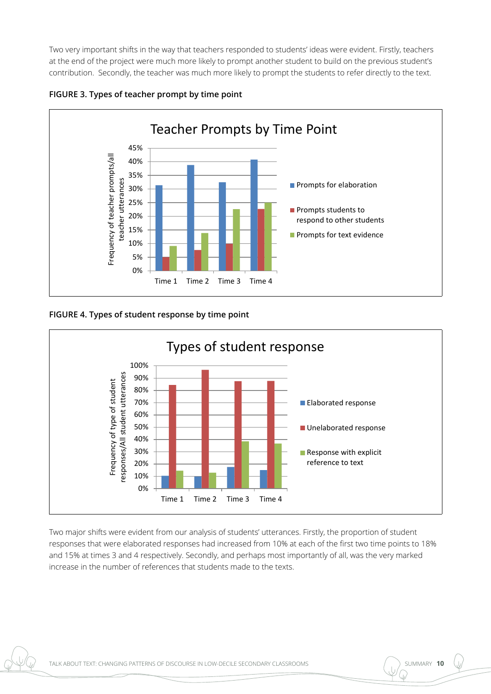Two very important shifts in the way that teachers responded to students' ideas were evident. Firstly, teachers at the end of the project were much more likely to prompt another student to build on the previous student's contribution. Secondly, the teacher was much more likely to prompt the students to refer directly to the text.





### **FIGURE 4. Types of student response by time point**



Two major shifts were evident from our analysis of students' utterances. Firstly, the proportion of student responses that were elaborated responses had increased from 10% at each of the first two time points to 18% and 15% at times 3 and 4 respectively. Secondly, and perhaps most importantly of all, was the very marked increase in the number of references that students made to the texts.

 $\overline{\phantom{a}}$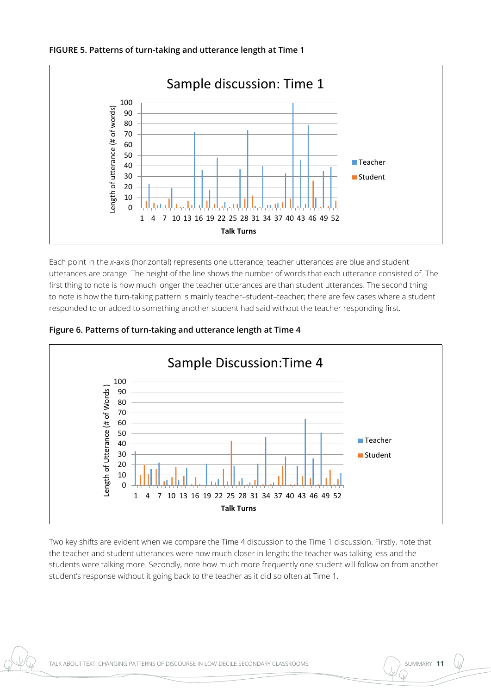



Each point in the *x*-axis (horizontal) represents one utterance; teacher utterances are blue and student utterances are orange. The height of the line shows the number of words that each utterance consisted of. The first thing to note is how much longer the teacher utterances are than student utterances. The second thing to note is how the turn-taking pattern is mainly teacher–student–teacher; there are few cases where a student responded to or added to something another student had said without the teacher responding first.





Two key shifts are evident when we compare the Time 4 discussion to the Time 1 discussion. Firstly, note that the teacher and student utterances were now much closer in length; the teacher was talking less and the students were talking more. Secondly, note how much more frequently one student will follow on from another student's response without it going back to the teacher as it did so often at Time 1.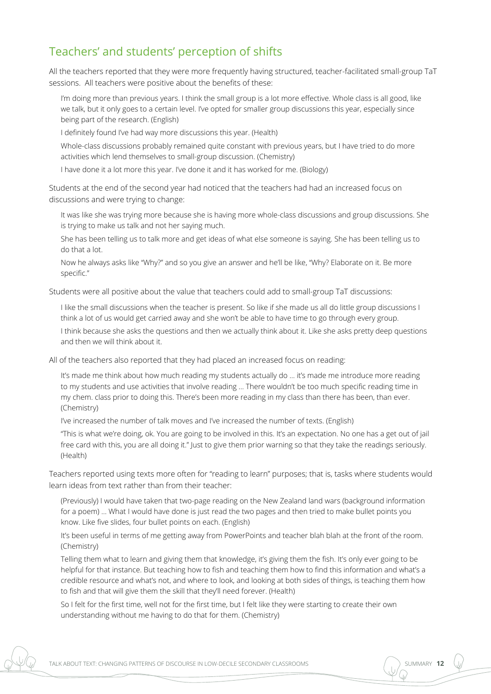### Teachers' and students' perception of shifts

All the teachers reported that they were more frequently having structured, teacher-facilitated small-group TaT sessions. All teachers were positive about the benefits of these:

I'm doing more than previous years. I think the small group is a lot more effective. Whole class is all good, like we talk, but it only goes to a certain level. I've opted for smaller group discussions this year, especially since being part of the research. (English)

I definitely found I've had way more discussions this year. (Health)

Whole-class discussions probably remained quite constant with previous years, but I have tried to do more activities which lend themselves to small-group discussion. (Chemistry)

I have done it a lot more this year. I've done it and it has worked for me. (Biology)

Students at the end of the second year had noticed that the teachers had had an increased focus on discussions and were trying to change:

It was like she was trying more because she is having more whole-class discussions and group discussions. She is trying to make us talk and not her saying much.

She has been telling us to talk more and get ideas of what else someone is saying. She has been telling us to do that a lot.

Now he always asks like "Why?" and so you give an answer and he'll be like, "Why? Elaborate on it. Be more specific."

Students were all positive about the value that teachers could add to small-group TaT discussions:

I like the small discussions when the teacher is present. So like if she made us all do little group discussions I think a lot of us would get carried away and she won't be able to have time to go through every group.

I think because she asks the questions and then we actually think about it. Like she asks pretty deep questions and then we will think about it.

All of the teachers also reported that they had placed an increased focus on reading:

It's made me think about how much reading my students actually do … it's made me introduce more reading to my students and use activities that involve reading … There wouldn't be too much specific reading time in my chem. class prior to doing this. There's been more reading in my class than there has been, than ever. (Chemistry)

I've increased the number of talk moves and I've increased the number of texts. (English)

"This is what we're doing, ok. You are going to be involved in this. It's an expectation. No one has a get out of jail free card with this, you are all doing it." Just to give them prior warning so that they take the readings seriously. (Health)

Teachers reported using texts more often for "reading to learn" purposes; that is, tasks where students would learn ideas from text rather than from their teacher:

(Previously) I would have taken that two-page reading on the New Zealand land wars (background information for a poem) … What I would have done is just read the two pages and then tried to make bullet points you know. Like five slides, four bullet points on each. (English)

It's been useful in terms of me getting away from PowerPoints and teacher blah blah at the front of the room. (Chemistry)

Telling them what to learn and giving them that knowledge, it's giving them the fish. It's only ever going to be helpful for that instance. But teaching how to fish and teaching them how to find this information and what's a credible resource and what's not, and where to look, and looking at both sides of things, is teaching them how to fish and that will give them the skill that they'll need forever. (Health)

So I felt for the first time, well not for the first time, but I felt like they were starting to create their own understanding without me having to do that for them. (Chemistry)

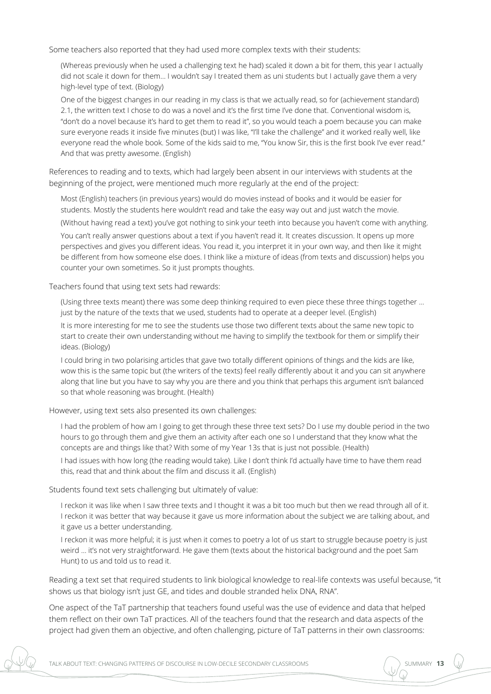Some teachers also reported that they had used more complex texts with their students:

(Whereas previously when he used a challenging text he had) scaled it down a bit for them, this year I actually did not scale it down for them… I wouldn't say I treated them as uni students but I actually gave them a very high-level type of text. (Biology)

One of the biggest changes in our reading in my class is that we actually read, so for (achievement standard) 2.1, the written text I chose to do was a novel and it's the first time I've done that. Conventional wisdom is, "don't do a novel because it's hard to get them to read it", so you would teach a poem because you can make sure everyone reads it inside five minutes (but) I was like, "I'll take the challenge" and it worked really well, like everyone read the whole book. Some of the kids said to me, "You know Sir, this is the first book I've ever read." And that was pretty awesome. (English)

References to reading and to texts, which had largely been absent in our interviews with students at the beginning of the project, were mentioned much more regularly at the end of the project:

Most (English) teachers (in previous years) would do movies instead of books and it would be easier for students. Mostly the students here wouldn't read and take the easy way out and just watch the movie.

(Without having read a text) you've got nothing to sink your teeth into because you haven't come with anything.

You can't really answer questions about a text if you haven't read it. It creates discussion. It opens up more perspectives and gives you different ideas. You read it, you interpret it in your own way, and then like it might be different from how someone else does. I think like a mixture of ideas (from texts and discussion) helps you counter your own sometimes. So it just prompts thoughts.

Teachers found that using text sets had rewards:

(Using three texts meant) there was some deep thinking required to even piece these three things together ... just by the nature of the texts that we used, students had to operate at a deeper level. (English)

It is more interesting for me to see the students use those two different texts about the same new topic to start to create their own understanding without me having to simplify the textbook for them or simplify their ideas. (Biology)

I could bring in two polarising articles that gave two totally different opinions of things and the kids are like, wow this is the same topic but (the writers of the texts) feel really differently about it and you can sit anywhere along that line but you have to say why you are there and you think that perhaps this argument isn't balanced so that whole reasoning was brought. (Health)

However, using text sets also presented its own challenges:

I had the problem of how am I going to get through these three text sets? Do I use my double period in the two hours to go through them and give them an activity after each one so I understand that they know what the concepts are and things like that? With some of my Year 13s that is just not possible. (Health)

I had issues with how long (the reading would take). Like I don't think I'd actually have time to have them read this, read that and think about the film and discuss it all. (English)

Students found text sets challenging but ultimately of value:

I reckon it was like when I saw three texts and I thought it was a bit too much but then we read through all of it. I reckon it was better that way because it gave us more information about the subject we are talking about, and it gave us a better understanding.

I reckon it was more helpful; it is just when it comes to poetry a lot of us start to struggle because poetry is just weird … it's not very straightforward. He gave them (texts about the historical background and the poet Sam Hunt) to us and told us to read it.

Reading a text set that required students to link biological knowledge to real-life contexts was useful because, "it shows us that biology isn't just GE, and tides and double stranded helix DNA, RNA".

One aspect of the TaT partnership that teachers found useful was the use of evidence and data that helped them reflect on their own TaT practices. All of the teachers found that the research and data aspects of the project had given them an objective, and often challenging, picture of TaT patterns in their own classrooms: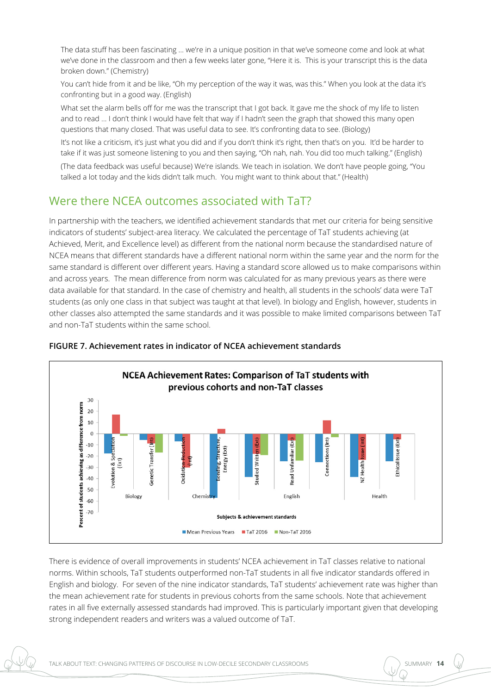The data stuff has been fascinating … we're in a unique position in that we've someone come and look at what we've done in the classroom and then a few weeks later gone, "Here it is. This is your transcript this is the data broken down." (Chemistry)

You can't hide from it and be like, "Oh my perception of the way it was, was this." When you look at the data it's confronting but in a good way. (English)

What set the alarm bells off for me was the transcript that I got back. It gave me the shock of my life to listen and to read … I don't think I would have felt that way if I hadn't seen the graph that showed this many open questions that many closed. That was useful data to see. It's confronting data to see. (Biology)

It's not like a criticism, it's just what you did and if you don't think it's right, then that's on you. It'd be harder to take if it was just someone listening to you and then saying, "Oh nah, nah. You did too much talking." (English)

(The data feedback was useful because) We're islands. We teach in isolation. We don't have people going, "You talked a lot today and the kids didn't talk much. You might want to think about that." (Health)

### Were there NCEA outcomes associated with TaT?

In partnership with the teachers, we identified achievement standards that met our criteria for being sensitive indicators of students' subject-area literacy. We calculated the percentage of TaT students achieving (at Achieved, Merit, and Excellence level) as different from the national norm because the standardised nature of NCEA means that different standards have a different national norm within the same year and the norm for the same standard is different over different years. Having a standard score allowed us to make comparisons within and across years. The mean difference from norm was calculated for as many previous years as there were data available for that standard. In the case of chemistry and health, all students in the schools' data were TaT students (as only one class in that subject was taught at that level). In biology and English, however, students in other classes also attempted the same standards and it was possible to make limited comparisons between TaT and non-TaT students within the same school.



#### **FIGURE 7. Achievement rates in indicator of NCEA achievement standards**

There is evidence of overall improvements in students' NCEA achievement in TaT classes relative to national norms. Within schools, TaT students outperformed non-TaT students in all five indicator standards offered in English and biology. For seven of the nine indicator standards, TaT students' achievement rate was higher than the mean achievement rate for students in previous cohorts from the same schools. Note that achievement rates in all five externally assessed standards had improved. This is particularly important given that developing strong independent readers and writers was a valued outcome of TaT.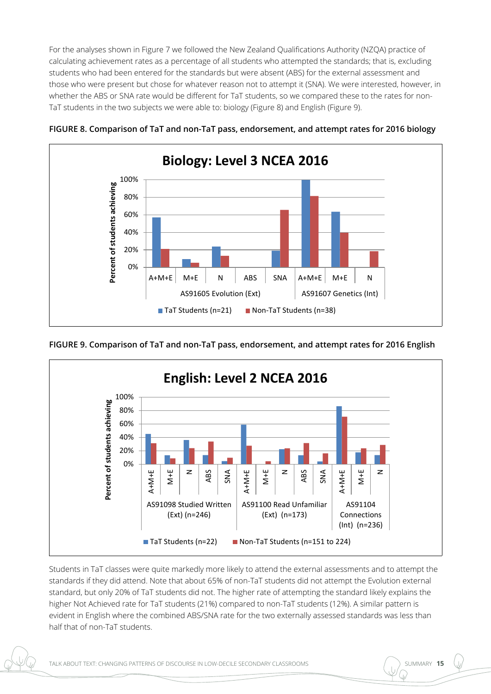For the analyses shown in Figure 7 we followed the New Zealand Qualifications Authority (NZQA) practice of calculating achievement rates as a percentage of all students who attempted the standards; that is, excluding students who had been entered for the standards but were absent (ABS) for the external assessment and those who were present but chose for whatever reason not to attempt it (SNA). We were interested, however, in whether the ABS or SNA rate would be different for TaT students, so we compared these to the rates for non-TaT students in the two subjects we were able to: biology (Figure 8) and English (Figure 9).





**FIGURE 9. Comparison of TaT and non-TaT pass, endorsement, and attempt rates for 2016 English**



Students in TaT classes were quite markedly more likely to attend the external assessments and to attempt the standards if they did attend. Note that about 65% of non-TaT students did not attempt the Evolution external standard, but only 20% of TaT students did not. The higher rate of attempting the standard likely explains the higher Not Achieved rate for TaT students (21%) compared to non-TaT students (12%). A similar pattern is evident in English where the combined ABS/SNA rate for the two externally assessed standards was less than half that of non-TaT students.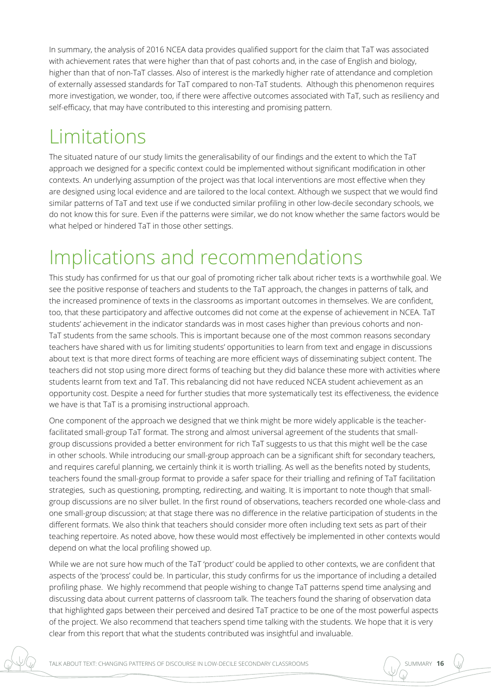In summary, the analysis of 2016 NCEA data provides qualified support for the claim that TaT was associated with achievement rates that were higher than that of past cohorts and, in the case of English and biology, higher than that of non-TaT classes. Also of interest is the markedly higher rate of attendance and completion of externally assessed standards for TaT compared to non-TaT students. Although this phenomenon requires more investigation, we wonder, too, if there were affective outcomes associated with TaT, such as resiliency and self-efficacy, that may have contributed to this interesting and promising pattern.

## Limitations

The situated nature of our study limits the generalisability of our findings and the extent to which the TaT approach we designed for a specific context could be implemented without significant modification in other contexts. An underlying assumption of the project was that local interventions are most effective when they are designed using local evidence and are tailored to the local context. Although we suspect that we would find similar patterns of TaT and text use if we conducted similar profiling in other low-decile secondary schools, we do not know this for sure. Even if the patterns were similar, we do not know whether the same factors would be what helped or hindered TaT in those other settings.

## Implications and recommendations

This study has confirmed for us that our goal of promoting richer talk about richer texts is a worthwhile goal. We see the positive response of teachers and students to the TaT approach, the changes in patterns of talk, and the increased prominence of texts in the classrooms as important outcomes in themselves. We are confident, too, that these participatory and affective outcomes did not come at the expense of achievement in NCEA. TaT students' achievement in the indicator standards was in most cases higher than previous cohorts and non-TaT students from the same schools. This is important because one of the most common reasons secondary teachers have shared with us for limiting students' opportunities to learn from text and engage in discussions about text is that more direct forms of teaching are more efficient ways of disseminating subject content. The teachers did not stop using more direct forms of teaching but they did balance these more with activities where students learnt from text and TaT. This rebalancing did not have reduced NCEA student achievement as an opportunity cost. Despite a need for further studies that more systematically test its effectiveness, the evidence we have is that TaT is a promising instructional approach.

One component of the approach we designed that we think might be more widely applicable is the teacherfacilitated small-group TaT format. The strong and almost universal agreement of the students that smallgroup discussions provided a better environment for rich TaT suggests to us that this might well be the case in other schools. While introducing our small-group approach can be a significant shift for secondary teachers, and requires careful planning, we certainly think it is worth trialling. As well as the benefits noted by students, teachers found the small-group format to provide a safer space for their trialling and refining of TaT facilitation strategies, such as questioning, prompting, redirecting, and waiting. It is important to note though that smallgroup discussions are no silver bullet. In the first round of observations, teachers recorded one whole-class and one small-group discussion; at that stage there was no difference in the relative participation of students in the different formats. We also think that teachers should consider more often including text sets as part of their teaching repertoire. As noted above, how these would most effectively be implemented in other contexts would depend on what the local profiling showed up.

While we are not sure how much of the TaT 'product' could be applied to other contexts, we are confident that aspects of the 'process' could be. In particular, this study confirms for us the importance of including a detailed profiling phase. We highly recommend that people wishing to change TaT patterns spend time analysing and discussing data about current patterns of classroom talk. The teachers found the sharing of observation data that highlighted gaps between their perceived and desired TaT practice to be one of the most powerful aspects of the project. We also recommend that teachers spend time talking with the students. We hope that it is very clear from this report that what the students contributed was insightful and invaluable.